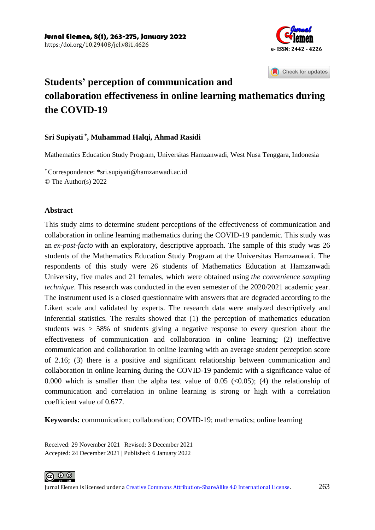

Check for updates

# **Students' perception of communication and collaboration effectiveness in online learning mathematics during the COVID-19**

### **Sri Supiyati \* , Muhammad Halqi, Ahmad Rasidi**

Mathematics Education Study Program, Universitas Hamzanwadi, West Nusa Tenggara, Indonesia

\* Correspondence: [\\*sri.supiyati@hamzanwadi.ac.id](mailto:*sri.supiyati@hamzanwadi.ac.id) © The Author(s) 2022

#### **Abstract**

This study aims to determine student perceptions of the effectiveness of communication and collaboration in online learning mathematics during the COVID-19 pandemic. This study was an *ex-post-facto* with an exploratory, descriptive approach. The sample of this study was 26 students of the Mathematics Education Study Program at the Universitas Hamzanwadi. The respondents of this study were 26 students of Mathematics Education at Hamzanwadi University, five males and 21 females, which were obtained using *the convenience sampling technique*. This research was conducted in the even semester of the 2020/2021 academic year. The instrument used is a closed questionnaire with answers that are degraded according to the Likert scale and validated by experts. The research data were analyzed descriptively and inferential statistics. The results showed that (1) the perception of mathematics education students was > 58% of students giving a negative response to every question about the effectiveness of communication and collaboration in online learning; (2) ineffective communication and collaboration in online learning with an average student perception score of 2.16; (3) there is a positive and significant relationship between communication and collaboration in online learning during the COVID-19 pandemic with a significance value of 0.000 which is smaller than the alpha test value of 0.05 ( $\langle 0.05 \rangle$ ; (4) the relationship of communication and correlation in online learning is strong or high with a correlation coefficient value of 0.677.

**Keywords:** communication; collaboration; COVID-19; mathematics; online learning

Received: 29 November 2021 | Revised: 3 December 2021 Accepted: 24 December 2021 | Published: 6 January 2022

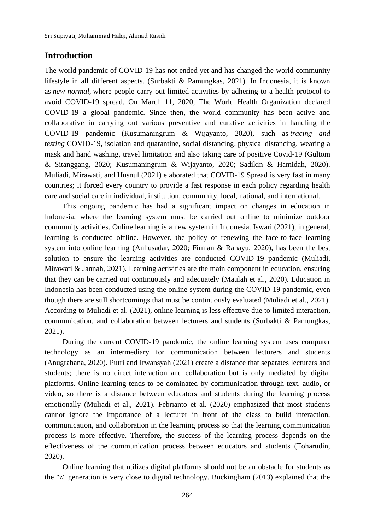# **Introduction**

The world pandemic of COVID-19 has not ended yet and has changed the world community lifestyle in all different aspects. (Surbakti & Pamungkas, 2021). In Indonesia, it is known as *new-normal,* where people carry out limited activities by adhering to a health protocol to avoid COVID-19 spread. On March 11, 2020, The World Health Organization declared COVID-19 a global pandemic. Since then, the world community has been active and collaborative in carrying out various preventive and curative activities in handling the COVID-19 pandemic (Kusumaningrum & Wijayanto, 2020), such as *tracing and testing* COVID-19, isolation and quarantine, social distancing*,* physical distancing, wearing a mask and hand washing, travel limitation and also taking care of positive Covid-19 (Gultom & Sitanggang, 2020; Kusumaningrum & Wijayanto, 2020; Sadikin & Hamidah, 2020). Muliadi, Mirawati, and Husnul (2021) elaborated that COVID-19 Spread is very fast in many countries; it forced every country to provide a fast response in each policy regarding health care and social care in individual, institution, community, local, national, and international.

This ongoing pandemic has had a significant impact on changes in education in Indonesia, where the learning system must be carried out online to minimize outdoor community activities. Online learning is a new system in Indonesia. Iswari (2021), in general, learning is conducted offline. However, the policy of renewing the face-to-face learning system into online learning (Anhusadar, 2020; Firman & Rahayu, 2020), has been the best solution to ensure the learning activities are conducted COVID-19 pandemic (Muliadi, Mirawati & Jannah, 2021). Learning activities are the main component in education, ensuring that they can be carried out continuously and adequately (Maulah et al., 2020). Education in Indonesia has been conducted using the online system during the COVID-19 pandemic, even though there are still shortcomings that must be continuously evaluated (Muliadi et al., 2021). According to Muliadi et al. (2021), online learning is less effective due to limited interaction, communication, and collaboration between lecturers and students (Surbakti & Pamungkas, 2021).

During the current COVID-19 pandemic, the online learning system uses computer technology as an intermediary for communication between lecturers and students (Anugrahana, 2020). Putri and Irwansyah (2021) create a distance that separates lecturers and students; there is no direct interaction and collaboration but is only mediated by digital platforms. Online learning tends to be dominated by communication through text, audio, or video, so there is a distance between educators and students during the learning process emotionally (Muliadi et al., 2021). Febrianto et al. (2020) emphasized that most students cannot ignore the importance of a lecturer in front of the class to build interaction, communication, and collaboration in the learning process so that the learning communication process is more effective. Therefore, the success of the learning process depends on the effectiveness of the communication process between educators and students (Toharudin, 2020).

Online learning that utilizes digital platforms should not be an obstacle for students as the "z" generation is very close to digital technology. Buckingham (2013) explained that the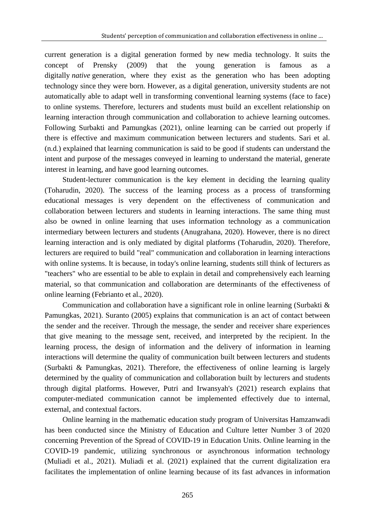current generation is a digital generation formed by new media technology. It suits the concept of Prensky (2009) that the young generation is famous as digitally *native* generation, where they exist as the generation who has been adopting technology since they were born. However, as a digital generation, university students are not automatically able to adapt well in transforming conventional learning systems (face to face) to online systems. Therefore, lecturers and students must build an excellent relationship on learning interaction through communication and collaboration to achieve learning outcomes. Following Surbakti and Pamungkas (2021), online learning can be carried out properly if there is effective and maximum communication between lecturers and students. Sari et al. (n.d.) explained that learning communication is said to be good if students can understand the intent and purpose of the messages conveyed in learning to understand the material, generate interest in learning, and have good learning outcomes.

Student-lecturer communication is the key element in deciding the learning quality (Toharudin, 2020). The success of the learning process as a process of transforming educational messages is very dependent on the effectiveness of communication and collaboration between lecturers and students in learning interactions. The same thing must also be owned in online learning that uses information technology as a communication intermediary between lecturers and students (Anugrahana, 2020). However, there is no direct learning interaction and is only mediated by digital platforms (Toharudin, 2020). Therefore, lecturers are required to build "real" communication and collaboration in learning interactions with online systems. It is because, in today's online learning, students still think of lecturers as "teachers" who are essential to be able to explain in detail and comprehensively each learning material, so that communication and collaboration are determinants of the effectiveness of online learning (Febrianto et al., 2020).

Communication and collaboration have a significant role in online learning (Surbakti & Pamungkas, 2021). Suranto (2005) explains that communication is an act of contact between the sender and the receiver. Through the message, the sender and receiver share experiences that give meaning to the message sent, received, and interpreted by the recipient. In the learning process, the design of information and the delivery of information in learning interactions will determine the quality of communication built between lecturers and students (Surbakti & Pamungkas, 2021). Therefore, the effectiveness of online learning is largely determined by the quality of communication and collaboration built by lecturers and students through digital platforms. However, Putri and Irwansyah's (2021) research explains that computer-mediated communication cannot be implemented effectively due to internal, external, and contextual factors.

Online learning in the mathematic education study program of Universitas Hamzanwadi has been conducted since the Ministry of Education and Culture letter Number 3 of 2020 concerning Prevention of the Spread of COVID-19 in Education Units. Online learning in the COVID-19 pandemic, utilizing synchronous or asynchronous information technology (Muliadi et al., 2021). Muliadi et al. (2021) explained that the current digitalization era facilitates the implementation of online learning because of its fast advances in information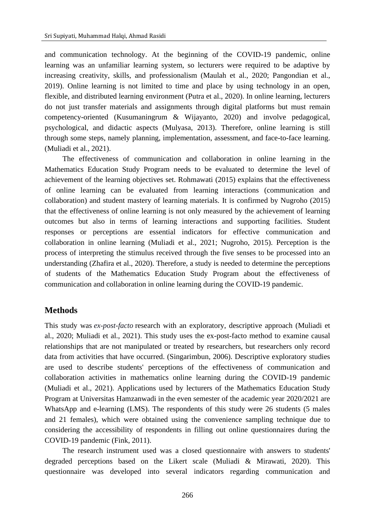and communication technology. At the beginning of the COVID-19 pandemic, online learning was an unfamiliar learning system, so lecturers were required to be adaptive by increasing creativity, skills, and professionalism (Maulah et al., 2020; Pangondian et al., 2019). Online learning is not limited to time and place by using technology in an open, flexible, and distributed learning environment (Putra et al., 2020). In online learning, lecturers do not just transfer materials and assignments through digital platforms but must remain competency-oriented (Kusumaningrum & Wijayanto, 2020) and involve pedagogical, psychological, and didactic aspects (Mulyasa, 2013). Therefore, online learning is still through some steps, namely planning, implementation, assessment, and face-to-face learning. (Muliadi et al., 2021).

The effectiveness of communication and collaboration in online learning in the Mathematics Education Study Program needs to be evaluated to determine the level of achievement of the learning objectives set. Rohmawati (2015) explains that the effectiveness of online learning can be evaluated from learning interactions (communication and collaboration) and student mastery of learning materials. It is confirmed by Nugroho (2015) that the effectiveness of online learning is not only measured by the achievement of learning outcomes but also in terms of learning interactions and supporting facilities. Student responses or perceptions are essential indicators for effective communication and collaboration in online learning (Muliadi et al., 2021; Nugroho, 2015). Perception is the process of interpreting the stimulus received through the five senses to be processed into an understanding (Zhafira et al., 2020). Therefore, a study is needed to determine the perceptions of students of the Mathematics Education Study Program about the effectiveness of communication and collaboration in online learning during the COVID-19 pandemic.

# **Methods**

This study was *ex-post-facto* research with an exploratory, descriptive approach (Muliadi et al., 2020; Muliadi et al., 2021). This study uses the ex-post-facto method to examine causal relationships that are not manipulated or treated by researchers, but researchers only record data from activities that have occurred. (Singarimbun, 2006). Descriptive exploratory studies are used to describe students' perceptions of the effectiveness of communication and collaboration activities in mathematics online learning during the COVID-19 pandemic (Muliadi et al., 2021). Applications used by lecturers of the Mathematics Education Study Program at Universitas Hamzanwadi in the even semester of the academic year 2020/2021 are WhatsApp and e-learning (LMS). The respondents of this study were 26 students (5 males and 21 females), which were obtained using the convenience sampling technique due to considering the accessibility of respondents in filling out online questionnaires during the COVID-19 pandemic (Fink, 2011).

The research instrument used was a closed questionnaire with answers to students' degraded perceptions based on the Likert scale (Muliadi & Mirawati, 2020). This questionnaire was developed into several indicators regarding communication and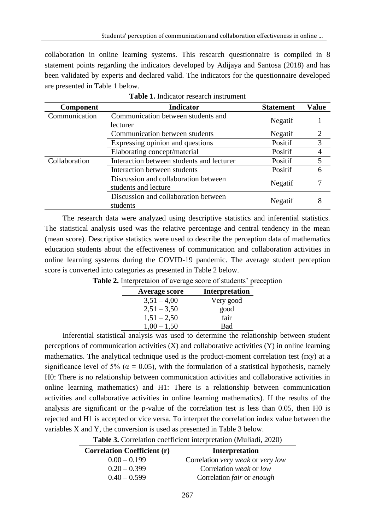collaboration in online learning systems. This research questionnaire is compiled in 8 statement points regarding the indicators developed by Adijaya and Santosa (2018) and has been validated by experts and declared valid. The indicators for the questionnaire developed are presented in Table 1 below.

| <b>Component</b> | Indicator                                                    | <b>Statement</b> | <b>Value</b> |
|------------------|--------------------------------------------------------------|------------------|--------------|
| Communication    | Communication between students and<br>lecturer               | Negatif          |              |
|                  | Communication between students                               | Negatif          | 2            |
|                  | Expressing opinion and questions                             | Positif          | 3            |
|                  | Elaborating concept/material                                 | Positif          | 4            |
| Collaboration    | Interaction between students and lecturer                    | Positif          | 5            |
|                  | Interaction between students                                 | Positif          | 6            |
|                  | Discussion and collaboration between<br>students and lecture | Negatif          |              |
|                  | Discussion and collaboration between<br>students             | Negatif          | 8            |

**Table 1.** Indicator research instrument

The research data were analyzed using descriptive statistics and inferential statistics. The statistical analysis used was the relative percentage and central tendency in the mean (mean score). Descriptive statistics were used to describe the perception data of mathematics education students about the effectiveness of communication and collaboration activities in online learning systems during the COVID-19 pandemic. The average student perception score is converted into categories as presented in Table 2 below.

| <b>Average score</b> | <b>Interpretation</b> |
|----------------------|-----------------------|
| $3,51 - 4,00$        | Very good             |
| $2,51 - 3,50$        | good                  |
| $1,51 - 2,50$        | fair                  |
| $1,00 - 1,50$        | Bad                   |

**Table 2.** Interpretaion of average score of students' preception

Inferential statistical analysis was used to determine the relationship between student perceptions of communication activities (X) and collaborative activities (Y) in online learning mathematics. The analytical technique used is the product-moment correlation test (rxy) at a significance level of 5% ( $\alpha$  = 0.05), with the formulation of a statistical hypothesis, namely H0: There is no relationship between communication activities and collaborative activities in online learning mathematics) and H1: There is a relationship between communication activities and collaborative activities in online learning mathematics). If the results of the analysis are significant or the p-value of the correlation test is less than 0.05, then H0 is rejected and H1 is accepted or vice versa. To interpret the correlation index value between the variables X and Y, the conversion is used as presented in Table 3 below.

|  | Table 3. Correlation coefficient interpretation (Muliadi, 2020) |  |
|--|-----------------------------------------------------------------|--|
|  |                                                                 |  |

| <b>Correlation Coefficient (r)</b> | <b>Interpretation</b>             |
|------------------------------------|-----------------------------------|
| $0.00 - 0.199$                     | Correlation very weak or very low |
| $0.20 - 0.399$                     | Correlation weak or low           |
| $0.40 - 0.599$                     | Correlation fair or enough        |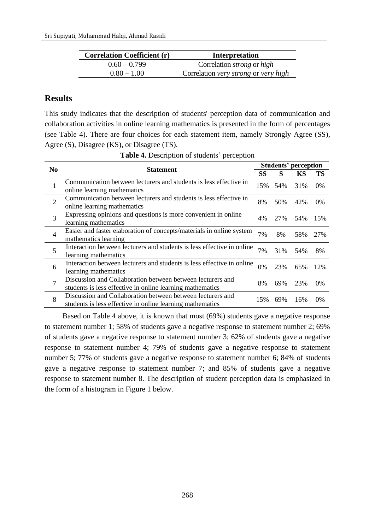| <b>Correlation Coefficient (r)</b> | Interpretation                           |
|------------------------------------|------------------------------------------|
| $0.60 - 0.799$                     | Correlation <i>strong</i> or <i>high</i> |
| $0.80 - 1.00$                      | Correlation very strong or very high     |

# **Results**

This study indicates that the description of students' perception data of communication and collaboration activities in online learning mathematics is presented in the form of percentages (see Table 4). There are four choices for each statement item, namely Strongly Agree (SS), Agree (S), Disagree (KS), or Disagree (TS).

| N <sub>0</sub> |                                                                                                                         | <b>Students' perception</b> |     |     |           |
|----------------|-------------------------------------------------------------------------------------------------------------------------|-----------------------------|-----|-----|-----------|
|                | <b>Statement</b>                                                                                                        |                             | S   | KS  | <b>TS</b> |
| 1              | Communication between lecturers and students is less effective in<br>online learning mathematics                        | 15%                         | 54% | 31% | $0\%$     |
| $\overline{2}$ | Communication between lecturers and students is less effective in<br>online learning mathematics                        | 8%                          | 50% | 42% | $0\%$     |
| 3              | Expressing opinions and questions is more convenient in online<br>learning mathematics                                  | 4%                          | 27% | 54% | 15%       |
| $\overline{4}$ | Easier and faster elaboration of concepts/materials in online system<br>mathematics learning                            | 7%                          | 8%  | 58% | 27%       |
| 5              | Interaction between lecturers and students is less effective in online<br>learning mathematics                          | 7%                          | 31% | 54% | 8%        |
| 6              | Interaction between lecturers and students is less effective in online<br>learning mathematics                          | 0%                          | 23% | 65% | 12%       |
| 7              | Discussion and Collaboration between between lecturers and<br>students is less effective in online learning mathematics | 8%                          | 69% | 23% | 0%        |
| 8              | Discussion and Collaboration between between lecturers and<br>students is less effective in online learning mathematics | 15%                         | 69% | 16% | 0%        |

**Table 4.** Description of students' perception

Based on Table 4 above, it is known that most (69%) students gave a negative response to statement number 1; 58% of students gave a negative response to statement number 2; 69% of students gave a negative response to statement number 3; 62% of students gave a negative response to statement number 4; 79% of students gave a negative response to statement number 5; 77% of students gave a negative response to statement number 6; 84% of students gave a negative response to statement number 7; and 85% of students gave a negative response to statement number 8. The description of student perception data is emphasized in the form of a histogram in Figure 1 below.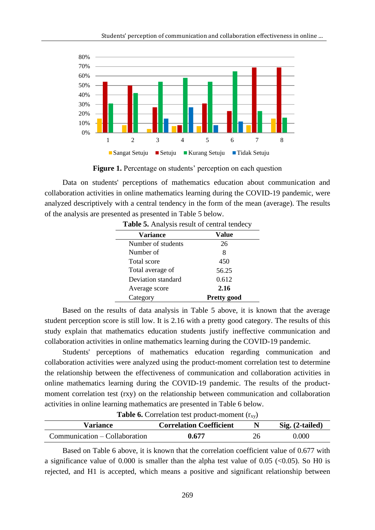

**Figure 1.** Percentage on students' perception on each question

Data on students' perceptions of mathematics education about communication and collaboration activities in online mathematics learning during the COVID-19 pandemic, were analyzed descriptively with a central tendency in the form of the mean (average). The results of the analysis are presented as presented in Table 5 below.

| <b>Variance</b>    | Value              |
|--------------------|--------------------|
| Number of students | 26                 |
| Number of          | 8                  |
| Total score        | 450                |
| Total average of   | 56.25              |
| Deviation standard | 0.612              |
| Average score      | 2.16               |
| Category           | <b>Pretty good</b> |
|                    |                    |

**Table 5.** Analysis result of central tendecy

Based on the results of data analysis in Table 5 above, it is known that the average student perception score is still low. It is 2.16 with a pretty good category. The results of this study explain that mathematics education students justify ineffective communication and collaboration activities in online mathematics learning during the COVID-19 pandemic.

Students' perceptions of mathematics education regarding communication and collaboration activities were analyzed using the product-moment correlation test to determine the relationship between the effectiveness of communication and collaboration activities in online mathematics learning during the COVID-19 pandemic. The results of the productmoment correlation test (rxy) on the relationship between communication and collaboration activities in online learning mathematics are presented in Table 6 below.

**Table 6.** Correlation test product-moment  $(r_{xy})$ 

| Variance                      | <b>Correlation Coefficient</b> |    | $Sig. (2-tailed)$ |
|-------------------------------|--------------------------------|----|-------------------|
| Communication – Collaboration | 0.677                          | 26 | 0.000             |

Based on Table 6 above, it is known that the correlation coefficient value of 0.677 with a significance value of 0.000 is smaller than the alpha test value of 0.05 ( $\lt$ 0.05). So H0 is rejected, and H1 is accepted, which means a positive and significant relationship between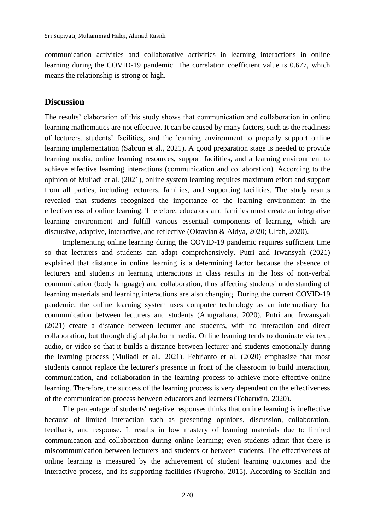communication activities and collaborative activities in learning interactions in online learning during the COVID-19 pandemic. The correlation coefficient value is 0.677, which means the relationship is strong or high.

# **Discussion**

The results' elaboration of this study shows that communication and collaboration in online learning mathematics are not effective. It can be caused by many factors, such as the readiness of lecturers, students' facilities, and the learning environment to properly support online learning implementation (Sabrun et al., 2021). A good preparation stage is needed to provide learning media, online learning resources, support facilities, and a learning environment to achieve effective learning interactions (communication and collaboration). According to the opinion of Muliadi et al. (2021), online system learning requires maximum effort and support from all parties, including lecturers, families, and supporting facilities. The study results revealed that students recognized the importance of the learning environment in the effectiveness of online learning. Therefore, educators and families must create an integrative learning environment and fulfill various essential components of learning, which are discursive, adaptive, interactive, and reflective (Oktavian & Aldya, 2020; Ulfah, 2020).

Implementing online learning during the COVID-19 pandemic requires sufficient time so that lecturers and students can adapt comprehensively. Putri and Irwansyah (2021) explained that distance in online learning is a determining factor because the absence of lecturers and students in learning interactions in class results in the loss of non-verbal communication (body language) and collaboration, thus affecting students' understanding of learning materials and learning interactions are also changing. During the current COVID-19 pandemic, the online learning system uses computer technology as an intermediary for communication between lecturers and students (Anugrahana, 2020). Putri and Irwansyah (2021) create a distance between lecturer and students, with no interaction and direct collaboration, but through digital platform media. Online learning tends to dominate via text, audio, or video so that it builds a distance between lecturer and students emotionally during the learning process (Muliadi et al., 2021). Febrianto et al. (2020) emphasize that most students cannot replace the lecturer's presence in front of the classroom to build interaction, communication, and collaboration in the learning process to achieve more effective online learning. Therefore, the success of the learning process is very dependent on the effectiveness of the communication process between educators and learners (Toharudin, 2020).

The percentage of students' negative responses thinks that online learning is ineffective because of limited interaction such as presenting opinions, discussion, collaboration, feedback, and response. It results in low mastery of learning materials due to limited communication and collaboration during online learning; even students admit that there is miscommunication between lecturers and students or between students. The effectiveness of online learning is measured by the achievement of student learning outcomes and the interactive process, and its supporting facilities (Nugroho, 2015). According to Sadikin and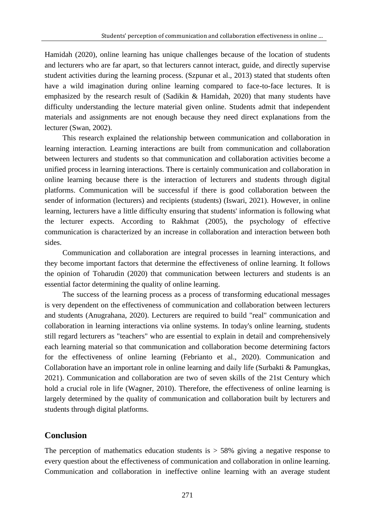Hamidah (2020), online learning has unique challenges because of the location of students and lecturers who are far apart, so that lecturers cannot interact, guide, and directly supervise student activities during the learning process. (Szpunar et al., 2013) stated that students often have a wild imagination during online learning compared to face-to-face lectures. It is emphasized by the research result of (Sadikin & Hamidah, 2020) that many students have difficulty understanding the lecture material given online. Students admit that independent materials and assignments are not enough because they need direct explanations from the lecturer (Swan, 2002).

This research explained the relationship between communication and collaboration in learning interaction. Learning interactions are built from communication and collaboration between lecturers and students so that communication and collaboration activities become a unified process in learning interactions. There is certainly communication and collaboration in online learning because there is the interaction of lecturers and students through digital platforms. Communication will be successful if there is good collaboration between the sender of information (lecturers) and recipients (students) (Iswari, 2021). However, in online learning, lecturers have a little difficulty ensuring that students' information is following what the lecturer expects. According to Rakhmat (2005), the psychology of effective communication is characterized by an increase in collaboration and interaction between both sides.

Communication and collaboration are integral processes in learning interactions, and they become important factors that determine the effectiveness of online learning. It follows the opinion of Toharudin (2020) that communication between lecturers and students is an essential factor determining the quality of online learning.

The success of the learning process as a process of transforming educational messages is very dependent on the effectiveness of communication and collaboration between lecturers and students (Anugrahana, 2020). Lecturers are required to build "real" communication and collaboration in learning interactions via online systems. In today's online learning, students still regard lecturers as "teachers" who are essential to explain in detail and comprehensively each learning material so that communication and collaboration become determining factors for the effectiveness of online learning (Febrianto et al., 2020). Communication and Collaboration have an important role in online learning and daily life (Surbakti & Pamungkas, 2021). Communication and collaboration are two of seven skills of the 21st Century which hold a crucial role in life (Wagner, 2010). Therefore, the effectiveness of online learning is largely determined by the quality of communication and collaboration built by lecturers and students through digital platforms.

### **Conclusion**

The perception of mathematics education students is  $> 58\%$  giving a negative response to every question about the effectiveness of communication and collaboration in online learning. Communication and collaboration in ineffective online learning with an average student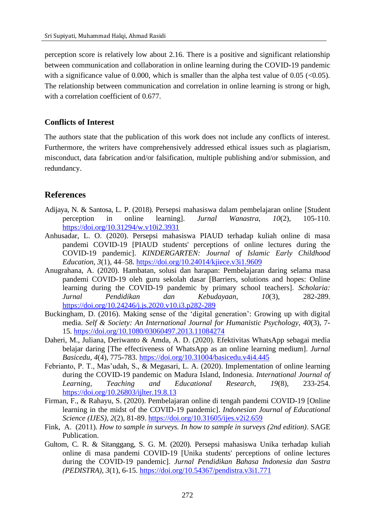perception score is relatively low about 2.16. There is a positive and significant relationship between communication and collaboration in online learning during the COVID-19 pandemic with a significance value of 0.000, which is smaller than the alpha test value of 0.05 ( $\leq$ 0.05). The relationship between communication and correlation in online learning is strong or high, with a correlation coefficient of 0.677.

### **Conflicts of Interest**

The authors state that the publication of this work does not include any conflicts of interest. Furthermore, the writers have comprehensively addressed ethical issues such as plagiarism, misconduct, data fabrication and/or falsification, multiple publishing and/or submission, and redundancy.

# **References**

- Adijaya, N. & Santosa, L. P. (2018). Persepsi mahasiswa dalam pembelajaran online [Student perception in online learning]. *Jurnal Wanastra*, *10*(2), 105-110. <https://doi.org/10.31294/w.v10i2.3931>
- Anhusadar, L. O. (2020). Persepsi mahasiswa PIAUD terhadap kuliah online di masa pandemi COVID-19 [PIAUD students' perceptions of online lectures during the COVID-19 pandemic]. *KINDERGARTEN: Journal of Islamic Early Childhood Education*, *3*(1), 44–58. <https://doi.org/10.24014/kjiece.v3i1.9609>
- Anugrahana, A. (2020). Hambatan, solusi dan harapan: Pembelajaran daring selama masa pandemi COVID-19 oleh guru sekolah dasar [Barriers, solutions and hopes: Online learning during the COVID-19 pandemic by primary school teachers]. *Scholaria: Jurnal Pendidikan dan Kebudayaan*, *10*(3), 282-289. <https://doi.org/10.24246/j.js.2020.v10.i3.p282-289>
- Buckingham, D. (2016). Making sense of the 'digital generation': Growing up with digital media. *Self & Society: An International Journal for Humanistic Psychology*, *40*(3), 7- 15. <https://doi.org/10.1080/03060497.2013.11084274>
- Daheri, M., Juliana, Deriwanto & Amda, A. D. (2020). Efektivitas WhatsApp sebagai media belajar daring [The effectiveness of WhatsApp as an online learning medium]. *Jurnal Basicedu*, *4*(4), 775-783.<https://doi.org/10.31004/basicedu.v4i4.445>
- Febrianto, P. T., Mas'udah, S., & Megasari, L. A. (2020). Implementation of online learning during the COVID-19 pandemic on Madura Island, Indonesia. *International Journal of Learning, Teaching and Educational Research*, *19*(8), 233-254. <https://doi.org/10.26803/ijlter.19.8.13>
- Firman, F., & Rahayu, S. (2020). Pembelajaran online di tengah pandemi COVID-19 [Online learning in the midst of the COVID-19 pandemic]. *Indonesian Journal of Educational Science (IJES)*, *2*(2), 81-89. <https://doi.org/10.31605/ijes.v2i2.659>
- Fink, A. (2011). *How to sample in surveys. In how to sample in surveys (2nd edition)*. SAGE Publication.
- Gultom, C. R. & Sitanggang, S. G. M. (2020). Persepsi mahasiswa Unika terhadap kuliah online di masa pandemi COVID-19 [Unika students' perceptions of online lectures during the COVID-19 pandemic]. *Jurnal Pendidikan Bahasa Indonesia dan Sastra (PEDISTRA), 3*(1), 6-15. <https://doi.org/10.54367/pendistra.v3i1.771>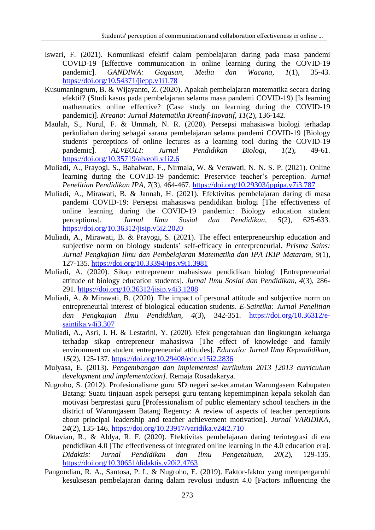- Iswari, F. (2021). Komunikasi efektif dalam pembelajaran daring pada masa pandemi COVID-19 [Effective communication in online learning during the COVID-19 pandemic]. *GANDIWA: Gagasan, Media dan Wacana*, *1*(1), 35-43. <https://doi.org/10.54371/jiepp.v1i1.78>
- Kusumaningrum, B. & Wijayanto, Z. (2020). Apakah pembelajaran matematika secara daring efektif? (Studi kasus pada pembelajaran selama masa pandemi COVID-19) [Is learning mathematics online effective? (Case study on learning during the COVID-19 pandemic)]. *Kreano: Jurnal Matematika Kreatif-Inovatif*, *11*(2), 136-142.
- Maulah, S., Nurul, F. & Ummah, N. R. (2020). Persepsi mahasiswa biologi terhadap perkuliahan daring sebagai sarana pembelajaran selama pandemi COVID-19 [Biology students' perceptions of online lectures as a learning tool during the COVID-19 pandemic]. *ALVEOLI: Jurnal Pendidikan Biologi*, *1*(2), 49-61. <https://doi.org/10.35719/alveoli.v1i2.6>
- Muliadi, A., Prayogi, S., Bahalwan, F., Nirmala, W. & Verawati, N. N. S. P. (2021). Online learning during the COVID-19 pandemic: Preservice teacher's perception. *Jurnal Penelitian Pendidikan IPA*, *7*(3), 464-467. <https://doi.org/10.29303/jppipa.v7i3.787>
- Muliadi, A., Mirawati, B. & Jannah, H. (2021). Efektivitas pembelajaran daring di masa pandemi COVID-19: Persepsi mahasiswa pendidikan biologi [The effectiveness of online learning during the COVID-19 pandemic: Biology education student perceptions]. *Jurnal Ilmu Sosial dan Pendidikan*, *5*(2), 625-633. <https://doi.org/10.36312/jisip.v5i2.2020>
- Muliadi, A., Mirawati, B. & Prayogi, S. (2021). The effect enterpreneurship education and subjective norm on biology students' self-efficacy in enterpreneurial. *Prisma Sains: Jurnal Pengkajian Ilmu dan Pembelajaran Matematika dan IPA IKIP Mataram, 9*(1), 127-135. <https://doi.org/10.33394/jps.v9i1.3981>
- Muliadi, A. (2020). Sikap entrepreneur mahasiswa pendidikan biologi [Entrepreneurial attitude of biology education students]. *Jurnal Ilmu Sosial dan Pendidikan*, *4*(3), 286- 291. <https://doi.org/10.36312/jisip.v4i3.1208>
- Muliadi, A. & Mirawati, B. (2020). The impact of personal attitude and subjective norm on entrepreneurial interest of biological education students. *E-Saintika: Jurnal Penelitian dan Pengkajian Ilmu Pendidikan*, *4*(3), 342-351. [https://doi.org/10.36312/e](https://doi.org/10.36312/e-saintika.v4i3.307)[saintika.v4i3.307](https://doi.org/10.36312/e-saintika.v4i3.307)
- Muliadi, A., Asri, I. H. & Lestarini, Y. (2020). Efek pengetahuan dan lingkungan keluarga terhadap sikap entrepreneur mahasiswa [The effect of knowledge and family environment on student entrepreneurial attitudes]. *Educatio: Jurnal Ilmu Kependidikan*, *15*(2), 125-137. <https://doi.org/10.29408/edc.v15i2.2836>
- Mulyasa, E. (2013). *Pengembangan dan implementasi kurikulum 2013 [2013 curriculum development and implementation].* Remaja Rosadakarya.
- Nugroho, S. (2012). Profesionalisme guru SD negeri se-kecamatan Warungasem Kabupaten Batang: Suatu tinjauan aspek persepsi guru tentang kepemimpinan kepala sekolah dan motivasi berprestasi guru [Professionalism of public elementary school teachers in the district of Warungasem Batang Regency: A review of aspects of teacher perceptions about principal leadership and teacher achievement motivation]. *Jurnal VARIDIKA*, *24*(2), 135-146. <https://doi.org/10.23917/varidika.v24i2.710>
- Oktavian, R., & Aldya, R. F. (2020). Efektivitas pembelajaran daring terintegrasi di era pendidikan 4.0 [The effectiveness of integrated online learning in the 4.0 education era]. *Didaktis: Jurnal Pendidikan dan Ilmu Pengetahuan*, *20*(2), 129-135. <https://doi.org/10.30651/didaktis.v20i2.4763>
- Pangondian, R. A., Santosa, P. I., & Nugroho, E. (2019). Faktor-faktor yang mempengaruhi kesuksesan pembelajaran daring dalam revolusi industri 4.0 [Factors influencing the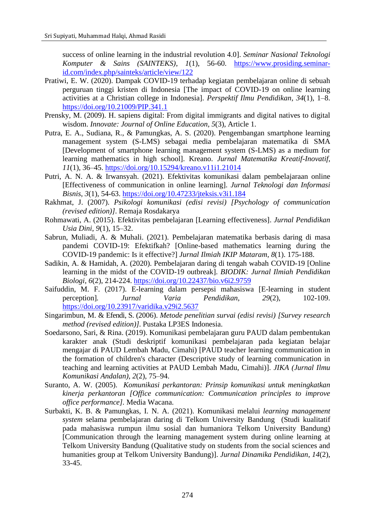success of online learning in the industrial revolution 4.0]. *Seminar Nasional Teknologi Komputer & Sains (SAINTEKS)*, *1*(1), 56-60. [https://www.prosiding.seminar](https://www.prosiding.seminar-id.com/index.php/sainteks/article/view/122)[id.com/index.php/sainteks/article/view/122](https://www.prosiding.seminar-id.com/index.php/sainteks/article/view/122)

- Pratiwi, E. W. (2020). Dampak COVID-19 terhadap kegiatan pembelajaran online di sebuah perguruan tinggi kristen di Indonesia [The impact of COVID-19 on online learning activities at a Christian college in Indonesia]. *Perspektif Ilmu Pendidikan*, *34*(1), 1–8. <https://doi.org/10.21009/PIP.341.1>
- Prensky, M. (2009). H. sapiens digital: From digital immigrants and digital natives to digital wisdom. *Innovate: Journal of Online Education, 5*(3), Article 1.
- Putra, E. A., Sudiana, R., & Pamungkas, A. S. (2020). Pengembangan smartphone learning management system (S-LMS) sebagai media pembelajaran matematika di SMA [Development of smartphone learning management system (S-LMS) as a medium for learning mathematics in high school]. Kreano. *Jurnal Matematika Kreatif-Inovatif*, *11*(1), 36–45. <https://doi.org/10.15294/kreano.v11i1.21014>
- Putri, A. N. A. & Irwansyah. (2021). Efektivitas komunikasi dalam pembelajaraan online [Effectiveness of communication in online learning]. *Jurnal Teknologi dan Informasi Bisnis*, *3*(1), 54-63. <https://doi.org/10.47233/jteksis.v3i1.184>
- Rakhmat, J. (2007). *Psikologi komunikasi (edisi revisi) [Psychology of communication (revised edition)]*. Remaja Rosdakarya
- Rohmawati, A. (2015). Efektivitas pembelajaran [Learning effectiveness]. *Jurnal Pendidikan Usia Dini*, *9*(1), 15–32.
- Sabrun, Muliadi, A. & Muhali. (2021). Pembelajaran matematika berbasis daring di masa pandemi COVID-19: Efektifkah? [Online-based mathematics learning during the COVID-19 pandemic: Is it effective?] *Jurnal Ilmiah IKIP Mataram*, *8*(1). 175-188.
- Sadikin, A. & Hamidah, A. (2020). Pembelajaran daring di tengah wabah COVID-19 [Online learning in the midst of the COVID-19 outbreak]. *BIODIK: Jurnal Ilmiah Pendidikan Biologi*, *6*(2), 214-224.<https://doi.org/10.22437/bio.v6i2.9759>
- Saifuddin, M. F. (2017). E-learning dalam persepsi mahasiswa [E-learning in student perception]*. Jurnal Varia Pendidikan*, *29*(2), 102-109. <https://doi.org/10.23917/varidika.v29i2.5637>
- Singarimbun, M. & Efendi, S. (2006). *Metode penelitian survai (edisi revisi) [Survey research method (revised edition)].* Pustaka LP3ES Indonesia.
- Soedarsono, Sari, & Rina. (2019). Komunikasi pembelajaran guru PAUD dalam pembentukan karakter anak (Studi deskriptif komunikasi pembelajaran pada kegiatan belajar mengajar di PAUD Lembah Madu, Cimahi) [PAUD teacher learning communication in the formation of children's character (Descriptive study of learning communication in teaching and learning activities at PAUD Lembah Madu, Cimahi)]. *JIKA (Jurnal Ilmu Komunikasi Andalan)*, *2*(2), 75–94.
- Suranto, A. W. (2005). *Komunikasi perkantoran: Prinsip komunikasi untuk meningkatkan kinerja perkantoran [Office communication: Communication principles to improve office performance].* Media Wacana.
- Surbakti, K. B. & Pamungkas, I. N. A. (2021). Komunikasi melalui *learning management system* selama pembelajaran daring di Telkom University Bandung (Studi kualitatif pada mahasiswa rumpun ilmu sosial dan humaniora Telkom University Bandung) [Communication through the learning management system during online learning at Telkom University Bandung (Qualitative study on students from the social sciences and humanities group at Telkom University Bandung)]. *Jurnal Dinamika Pendidikan*, *14*(2), 33-45.